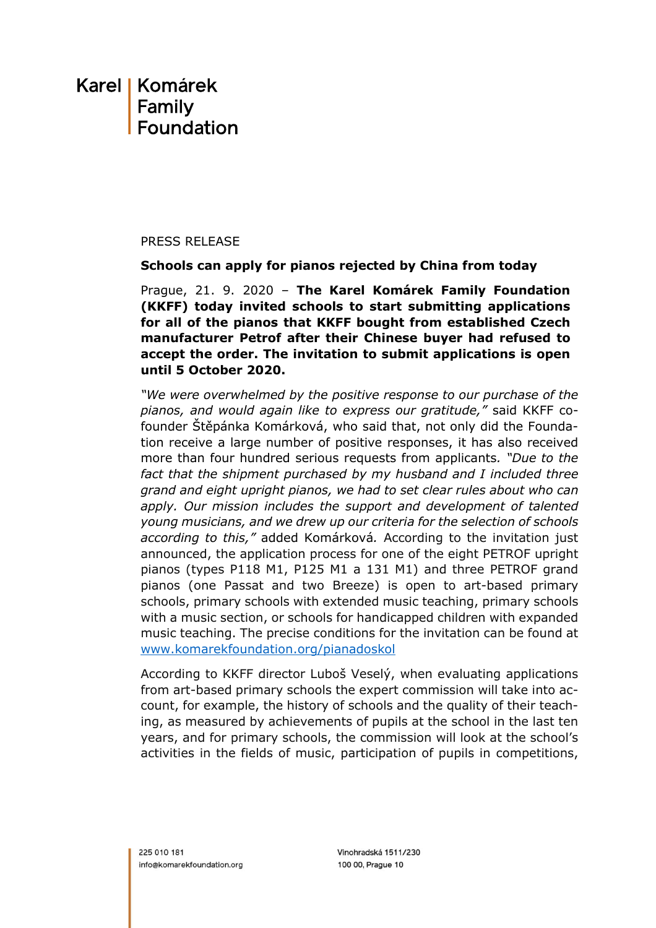## Karel I Komárek Family Foundation

#### PRESS RELEASE

#### **Schools can apply for pianos rejected by China from today**

Prague, 21. 9. 2020 – **The Karel Komárek Family Foundation (KKFF) today invited schools to start submitting applications for all of the pianos that KKFF bought from established Czech manufacturer Petrof after their Chinese buyer had refused to accept the order. The invitation to submit applications is open until 5 October 2020.**

*"We were overwhelmed by the positive response to our purchase of the pianos, and would again like to express our gratitude,"* said KKFF cofounder Štěpánka Komárková, who said that, not only did the Foundation receive a large number of positive responses, it has also received more than four hundred serious requests from applicants*. "Due to the fact that the shipment purchased by my husband and I included three grand and eight upright pianos, we had to set clear rules about who can apply. Our mission includes the support and development of talented young musicians, and we drew up our criteria for the selection of schools according to this,"* added Komárková*.* According to the invitation just announced, the application process for one of the eight PETROF upright pianos (types P118 M1, P125 M1 a 131 M1) and three PETROF grand pianos (one Passat and two Breeze) is open to art-based primary schools, primary schools with extended music teaching, primary schools with a music section, or schools for handicapped children with expanded music teaching. The precise conditions for the invitation can be found at [www.komarekfoundation.org/pianadoskol](http://www.komarekfoundation.org/pianadoskol)

According to KKFF director Luboš Veselý, when evaluating applications from art-based primary schools the expert commission will take into account, for example, the history of schools and the quality of their teaching, as measured by achievements of pupils at the school in the last ten years, and for primary schools, the commission will look at the school's activities in the fields of music, participation of pupils in competitions,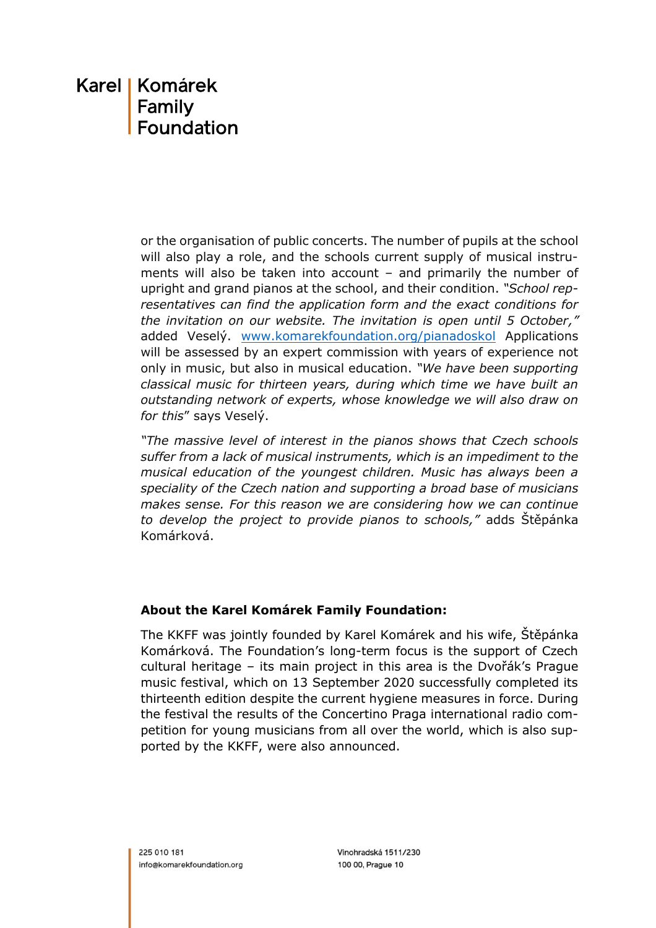# Karel I Komárek Family<br>Foundation

or the organisation of public concerts. The number of pupils at the school will also play a role, and the schools current supply of musical instruments will also be taken into account – and primarily the number of upright and grand pianos at the school, and their condition. *"School representatives can find the application form and the exact conditions for the invitation on our website. The invitation is open until 5 October,"* added Veselý. [www.komarekfoundation.org/pianadoskol](http://www.komarekfoundation.org/pianadoskol) Applications will be assessed by an expert commission with years of experience not only in music, but also in musical education. *"We have been supporting classical music for thirteen years, during which time we have built an outstanding network of experts, whose knowledge we will also draw on for this*" says Veselý.

*"The massive level of interest in the pianos shows that Czech schools suffer from a lack of musical instruments, which is an impediment to the musical education of the youngest children. Music has always been a speciality of the Czech nation and supporting a broad base of musicians makes sense. For this reason we are considering how we can continue to develop the project to provide pianos to schools,"* adds Štěpánka Komárková.

### **About the Karel Komárek Family Foundation:**

The KKFF was jointly founded by Karel Komárek and his wife, Štěpánka Komárková. The Foundation's long-term focus is the support of Czech cultural heritage – its main project in this area is the Dvořák's Prague music festival, which on 13 September 2020 successfully completed its thirteenth edition despite the current hygiene measures in force. During the festival the results of the Concertino Praga international radio competition for young musicians from all over the world, which is also supported by the KKFF, were also announced.